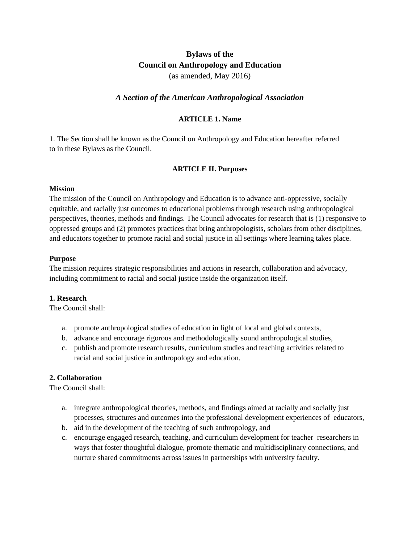# **Bylaws of the Council on Anthropology and Education** (as amended, May 2016)

# *A Section of the American Anthropological Association*

### **ARTICLE 1. Name**

1. The Section shall be known as the Council on Anthropology and Education hereafter referred to in these Bylaws as the Council.

### **ARTICLE II. Purposes**

#### **Mission**

The mission of the Council on Anthropology and Education is to advance anti-oppressive, socially equitable, and racially just outcomes to educational problems through research using anthropological perspectives, theories, methods and findings. The Council advocates for research that is (1) responsive to oppressed groups and (2) promotes practices that bring anthropologists, scholars from other disciplines, and educators together to promote racial and social justice in all settings where learning takes place.

#### **Purpose**

The mission requires strategic responsibilities and actions in research, collaboration and advocacy, including commitment to racial and social justice inside the organization itself.

#### **1. Research**

The Council shall:

- a. promote anthropological studies of education in light of local and global contexts,
- b. advance and encourage rigorous and methodologically sound anthropological studies,
- c. publish and promote research results, curriculum studies and teaching activities related to racial and social justice in anthropology and education.

#### **2. Collaboration**

The Council shall:

- a. integrate anthropological theories, methods, and findings aimed at racially and socially just processes, structures and outcomes into the professional development experiences of educators,
- b. aid in the development of the teaching of such anthropology, and
- c. encourage engaged research, teaching, and curriculum development for teacher researchers in ways that foster thoughtful dialogue, promote thematic and multidisciplinary connections, and nurture shared commitments across issues in partnerships with university faculty.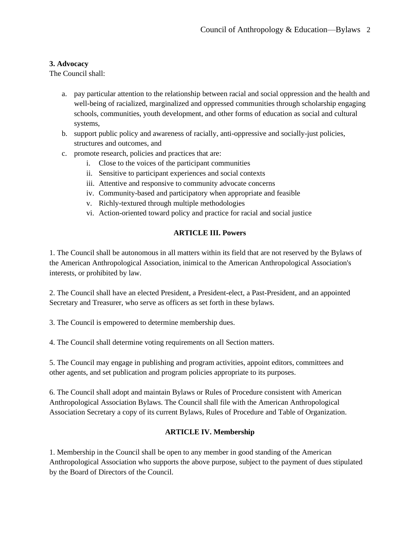# **3. Advocacy**

The Council shall:

- a. pay particular attention to the relationship between racial and social oppression and the health and well-being of racialized, marginalized and oppressed communities through scholarship engaging schools, communities, youth development, and other forms of education as social and cultural systems,
- b. support public policy and awareness of racially, anti-oppressive and socially-just policies, structures and outcomes, and
- c. promote research, policies and practices that are:
	- i. Close to the voices of the participant communities
	- ii. Sensitive to participant experiences and social contexts
	- iii. Attentive and responsive to community advocate concerns
	- iv. Community-based and participatory when appropriate and feasible
	- v. Richly-textured through multiple methodologies
	- vi. Action-oriented toward policy and practice for racial and social justice

# **ARTICLE III. Powers**

1. The Council shall be autonomous in all matters within its field that are not reserved by the Bylaws of the American Anthropological Association, inimical to the American Anthropological Association's interests, or prohibited by law.

2. The Council shall have an elected President, a President-elect, a Past-President, and an appointed Secretary and Treasurer, who serve as officers as set forth in these bylaws.

3. The Council is empowered to determine membership dues.

4. The Council shall determine voting requirements on all Section matters.

5. The Council may engage in publishing and program activities, appoint editors, committees and other agents, and set publication and program policies appropriate to its purposes.

6. The Council shall adopt and maintain Bylaws or Rules of Procedure consistent with American Anthropological Association Bylaws. The Council shall file with the American Anthropological Association Secretary a copy of its current Bylaws, Rules of Procedure and Table of Organization.

# **ARTICLE IV. Membership**

1. Membership in the Council shall be open to any member in good standing of the American Anthropological Association who supports the above purpose, subject to the payment of dues stipulated by the Board of Directors of the Council.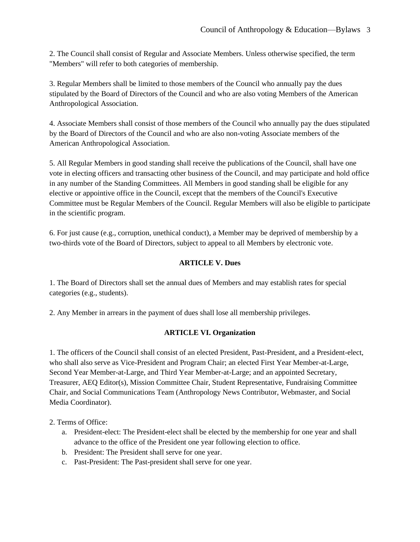2. The Council shall consist of Regular and Associate Members. Unless otherwise specified, the term "Members" will refer to both categories of membership.

3. Regular Members shall be limited to those members of the Council who annually pay the dues stipulated by the Board of Directors of the Council and who are also voting Members of the American Anthropological Association.

4. Associate Members shall consist of those members of the Council who annually pay the dues stipulated by the Board of Directors of the Council and who are also non-voting Associate members of the American Anthropological Association.

5. All Regular Members in good standing shall receive the publications of the Council, shall have one vote in electing officers and transacting other business of the Council, and may participate and hold office in any number of the Standing Committees. All Members in good standing shall be eligible for any elective or appointive office in the Council, except that the members of the Council's Executive Committee must be Regular Members of the Council. Regular Members will also be eligible to participate in the scientific program.

6. For just cause (e.g., corruption, unethical conduct), a Member may be deprived of membership by a two-thirds vote of the Board of Directors, subject to appeal to all Members by electronic vote.

#### **ARTICLE V. Dues**

1. The Board of Directors shall set the annual dues of Members and may establish rates for special categories (e.g., students).

2. Any Member in arrears in the payment of dues shall lose all membership privileges.

#### **ARTICLE VI. Organization**

1. The officers of the Council shall consist of an elected President, Past-President, and a President-elect, who shall also serve as Vice-President and Program Chair; an elected First Year Member-at-Large, Second Year Member-at-Large, and Third Year Member-at-Large; and an appointed Secretary, Treasurer, AEQ Editor(s), Mission Committee Chair, Student Representative, Fundraising Committee Chair, and Social Communications Team (Anthropology News Contributor, Webmaster, and Social Media Coordinator).

### 2. Terms of Office:

- a. President-elect: The President-elect shall be elected by the membership for one year and shall advance to the office of the President one year following election to office.
- b. President: The President shall serve for one year.
- c. Past-President: The Past-president shall serve for one year.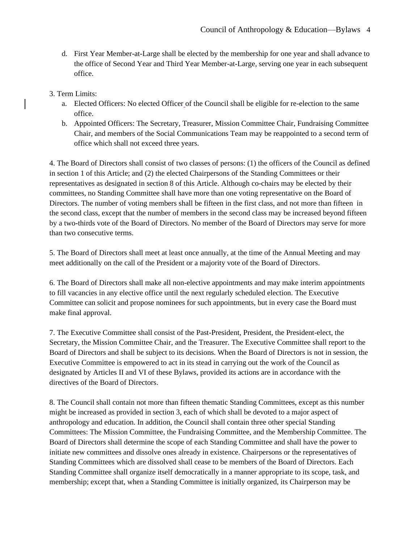d. First Year Member-at-Large shall be elected by the membership for one year and shall advance to the office of Second Year and Third Year Member-at-Large, serving one year in each subsequent office.

### 3. Term Limits:

- a. Elected Officers: No elected Officer of the Council shall be eligible for re-election to the same office.
- b. Appointed Officers: The Secretary, Treasurer, Mission Committee Chair, Fundraising Committee Chair, and members of the Social Communications Team may be reappointed to a second term of office which shall not exceed three years.

4. The Board of Directors shall consist of two classes of persons: (1) the officers of the Council as defined in section 1 of this Article; and (2) the elected Chairpersons of the Standing Committees or their representatives as designated in section 8 of this Article. Although co-chairs may be elected by their committees, no Standing Committee shall have more than one voting representative on the Board of Directors. The number of voting members shall be fifteen in the first class, and not more than fifteen in the second class, except that the number of members in the second class may be increased beyond fifteen by a two-thirds vote of the Board of Directors. No member of the Board of Directors may serve for more than two consecutive terms.

5. The Board of Directors shall meet at least once annually, at the time of the Annual Meeting and may meet additionally on the call of the President or a majority vote of the Board of Directors.

6. The Board of Directors shall make all non-elective appointments and may make interim appointments to fill vacancies in any elective office until the next regularly scheduled election. The Executive Committee can solicit and propose nominees for such appointments, but in every case the Board must make final approval.

7. The Executive Committee shall consist of the Past-President, President, the President-elect, the Secretary, the Mission Committee Chair, and the Treasurer. The Executive Committee shall report to the Board of Directors and shall be subject to its decisions. When the Board of Directors is not in session, the Executive Committee is empowered to act in its stead in carrying out the work of the Council as designated by Articles II and VI of these Bylaws, provided its actions are in accordance with the directives of the Board of Directors.

8. The Council shall contain not more than fifteen thematic Standing Committees, except as this number might be increased as provided in section 3, each of which shall be devoted to a major aspect of anthropology and education. In addition, the Council shall contain three other special Standing Committees: The Mission Committee, the Fundraising Committee, and the Membership Committee. The Board of Directors shall determine the scope of each Standing Committee and shall have the power to initiate new committees and dissolve ones already in existence. Chairpersons or the representatives of Standing Committees which are dissolved shall cease to be members of the Board of Directors. Each Standing Committee shall organize itself democratically in a manner appropriate to its scope, task, and membership; except that, when a Standing Committee is initially organized, its Chairperson may be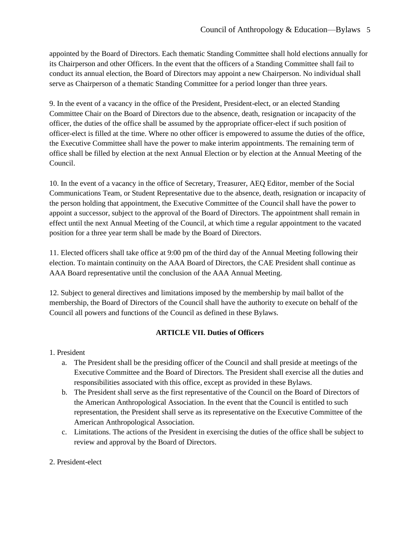appointed by the Board of Directors. Each thematic Standing Committee shall hold elections annually for its Chairperson and other Officers. In the event that the officers of a Standing Committee shall fail to conduct its annual election, the Board of Directors may appoint a new Chairperson. No individual shall serve as Chairperson of a thematic Standing Committee for a period longer than three years.

9. In the event of a vacancy in the office of the President, President-elect, or an elected Standing Committee Chair on the Board of Directors due to the absence, death, resignation or incapacity of the officer, the duties of the office shall be assumed by the appropriate officer-elect if such position of officer-elect is filled at the time. Where no other officer is empowered to assume the duties of the office, the Executive Committee shall have the power to make interim appointments. The remaining term of office shall be filled by election at the next Annual Election or by election at the Annual Meeting of the Council.

10. In the event of a vacancy in the office of Secretary, Treasurer, AEQ Editor, member of the Social Communications Team, or Student Representative due to the absence, death, resignation or incapacity of the person holding that appointment, the Executive Committee of the Council shall have the power to appoint a successor, subject to the approval of the Board of Directors. The appointment shall remain in effect until the next Annual Meeting of the Council, at which time a regular appointment to the vacated position for a three year term shall be made by the Board of Directors.

11. Elected officers shall take office at 9:00 pm of the third day of the Annual Meeting following their election. To maintain continuity on the AAA Board of Directors, the CAE President shall continue as AAA Board representative until the conclusion of the AAA Annual Meeting.

12. Subject to general directives and limitations imposed by the membership by mail ballot of the membership, the Board of Directors of the Council shall have the authority to execute on behalf of the Council all powers and functions of the Council as defined in these Bylaws.

# **ARTICLE VII. Duties of Officers**

#### 1. President

- a. The President shall be the presiding officer of the Council and shall preside at meetings of the Executive Committee and the Board of Directors. The President shall exercise all the duties and responsibilities associated with this office, except as provided in these Bylaws.
- b. The President shall serve as the first representative of the Council on the Board of Directors of the American Anthropological Association. In the event that the Council is entitled to such representation, the President shall serve as its representative on the Executive Committee of the American Anthropological Association.
- c. Limitations. The actions of the President in exercising the duties of the office shall be subject to review and approval by the Board of Directors.

#### 2. President-elect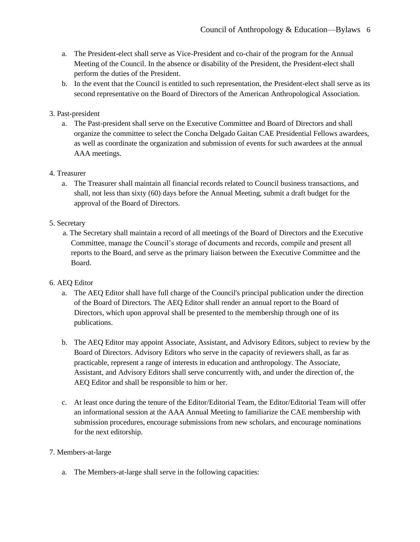- a. The President-elect shall serve as Vice-President and co-chair of the program for the Annual Meeting of the Council. In the absence or disability of the President, the President-elect shall perform the duties of the President.
- b. In the event that the Council is entitled to such representation, the President-elect shall serve as its second representative on the Board of Directors of the American Anthropological Association.

# 3. Past-president

a. The Past-president shall serve on the Executive Committee and Board of Directors and shall organize the committee to select the Concha Delgado Gaitan CAE Presidential Fellows awardees, as well as coordinate the organization and submission of events for such awardees at the annual AAA meetings.

# 4. Treasurer

a. The Treasurer shall maintain all financial records related to Council business transactions, and shall, not less than sixty (60) days before the Annual Meeting, submit a draft budget for the approval of the Board of Directors.

# 5. Secretary

 a. The Secretary shall maintain a record of all meetings of the Board of Directors and the Executive Committee, manage the Council's storage of documents and records, compile and present all reports to the Board, and serve as the primary liaison between the Executive Committee and the Board.

# 6. AEQ Editor

- a. The AEQ Editor shall have full charge of the Council's principal publication under the direction of the Board of Directors. The AEQ Editor shall render an annual report to the Board of Directors, which upon approval shall be presented to the membership through one of its publications.
- b. The AEQ Editor may appoint Associate, Assistant, and Advisory Editors, subject to review by the Board of Directors. Advisory Editors who serve in the capacity of reviewers shall, as far as practicable, represent a range of interests in education and anthropology. The Associate, Assistant, and Advisory Editors shall serve concurrently with, and under the direction of, the AEQ Editor and shall be responsible to him or her.
- c. At least once during the tenure of the Editor/Editorial Team, the Editor/Editorial Team will offer an informational session at the AAA Annual Meeting to familiarize the CAE membership with submission procedures, encourage submissions from new scholars, and encourage nominations for the next editorship.

# 7. Members-at-large

a. The Members-at-large shall serve in the following capacities: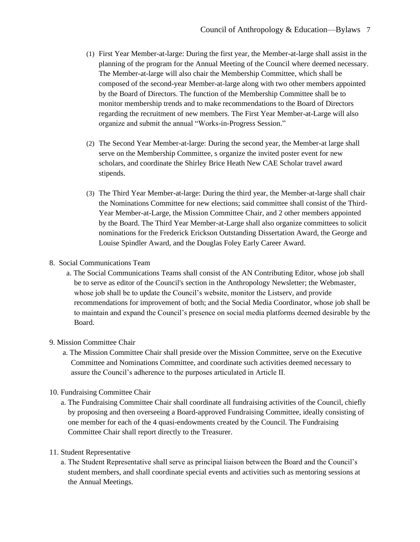- (1) First Year Member-at-large: During the first year, the Member-at-large shall assist in the planning of the program for the Annual Meeting of the Council where deemed necessary. The Member-at-large will also chair the Membership Committee, which shall be composed of the second-year Member-at-large along with two other members appointed by the Board of Directors. The function of the Membership Committee shall be to monitor membership trends and to make recommendations to the Board of Directors regarding the recruitment of new members. The First Year Member-at-Large will also organize and submit the annual "Works-in-Progress Session."
- (2) The Second Year Member-at-large: During the second year, the Member-at large shall serve on the Membership Committee, s organize the invited poster event for new scholars, and coordinate the Shirley Brice Heath New CAE Scholar travel award stipends.
- (3) The Third Year Member-at-large: During the third year, the Member-at-large shall chair the Nominations Committee for new elections; said committee shall consist of the Third-Year Member-at-Large, the Mission Committee Chair, and 2 other members appointed by the Board. The Third Year Member-at-Large shall also organize committees to solicit nominations for the Frederick Erickson Outstanding Dissertation Award, the George and Louise Spindler Award, and the Douglas Foley Early Career Award.
- 8. Social Communications Team
	- a. The Social Communications Teams shall consist of the AN Contributing Editor, whose job shall be to serve as editor of the Council's section in the Anthropology Newsletter; the Webmaster, whose job shall be to update the Council's website, monitor the Listserv, and provide recommendations for improvement of both; and the Social Media Coordinator, whose job shall be to maintain and expand the Council's presence on social media platforms deemed desirable by the Board.
- 9. Mission Committee Chair
	- a. The Mission Committee Chair shall preside over the Mission Committee, serve on the Executive Committee and Nominations Committee, and coordinate such activities deemed necessary to assure the Council's adherence to the purposes articulated in Article II.
- 10. Fundraising Committee Chair
	- a. The Fundraising Committee Chair shall coordinate all fundraising activities of the Council, chiefly by proposing and then overseeing a Board-approved Fundraising Committee, ideally consisting of one member for each of the 4 quasi-endowments created by the Council. The Fundraising Committee Chair shall report directly to the Treasurer.

### 11. Student Representative

 a. The Student Representative shall serve as principal liaison between the Board and the Council's student members, and shall coordinate special events and activities such as mentoring sessions at the Annual Meetings.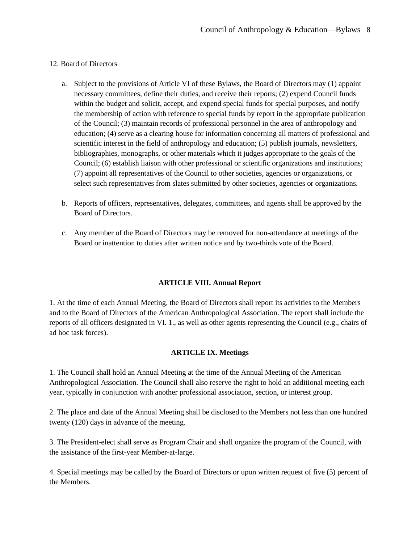### 12. Board of Directors

- a. Subject to the provisions of Article VI of these Bylaws, the Board of Directors may (1) appoint necessary committees, define their duties, and receive their reports; (2) expend Council funds within the budget and solicit, accept, and expend special funds for special purposes, and notify the membership of action with reference to special funds by report in the appropriate publication of the Council; (3) maintain records of professional personnel in the area of anthropology and education; (4) serve as a clearing house for information concerning all matters of professional and scientific interest in the field of anthropology and education; (5) publish journals, newsletters, bibliographies, monographs, or other materials which it judges appropriate to the goals of the Council; (6) establish liaison with other professional or scientific organizations and institutions; (7) appoint all representatives of the Council to other societies, agencies or organizations, or select such representatives from slates submitted by other societies, agencies or organizations.
- b. Reports of officers, representatives, delegates, committees, and agents shall be approved by the Board of Directors.
- c. Any member of the Board of Directors may be removed for non-attendance at meetings of the Board or inattention to duties after written notice and by two-thirds vote of the Board.

#### **ARTICLE VIII. Annual Report**

1. At the time of each Annual Meeting, the Board of Directors shall report its activities to the Members and to the Board of Directors of the American Anthropological Association. The report shall include the reports of all officers designated in VI. 1., as well as other agents representing the Council (e.g., chairs of ad hoc task forces).

#### **ARTICLE IX. Meetings**

1. The Council shall hold an Annual Meeting at the time of the Annual Meeting of the American Anthropological Association. The Council shall also reserve the right to hold an additional meeting each year, typically in conjunction with another professional association, section, or interest group.

2. The place and date of the Annual Meeting shall be disclosed to the Members not less than one hundred twenty (120) days in advance of the meeting.

3. The President-elect shall serve as Program Chair and shall organize the program of the Council, with the assistance of the first-year Member-at-large.

4. Special meetings may be called by the Board of Directors or upon written request of five (5) percent of the Members.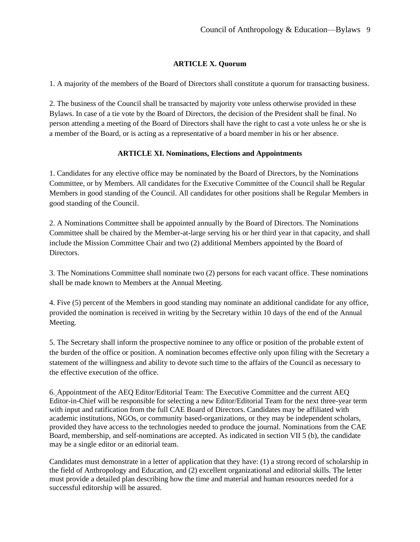### **ARTICLE X. Quorum**

1. A majority of the members of the Board of Directors shall constitute a quorum for transacting business.

2. The business of the Council shall be transacted by majority vote unless otherwise provided in these Bylaws. In case of a tie vote by the Board of Directors, the decision of the President shall be final. No person attending a meeting of the Board of Directors shall have the right to cast a vote unless he or she is a member of the Board, or is acting as a representative of a board member in his or her absence.

#### **ARTICLE XI. Nominations, Elections and Appointments**

1. Candidates for any elective office may be nominated by the Board of Directors, by the Nominations Committee, or by Members. All candidates for the Executive Committee of the Council shall be Regular Members in good standing of the Council. All candidates for other positions shall be Regular Members in good standing of the Council.

2. A Nominations Committee shall be appointed annually by the Board of Directors. The Nominations Committee shall be chaired by the Member-at-large serving his or her third year in that capacity, and shall include the Mission Committee Chair and two (2) additional Members appointed by the Board of Directors.

3. The Nominations Committee shall nominate two (2) persons for each vacant office. These nominations shall be made known to Members at the Annual Meeting.

4. Five (5) percent of the Members in good standing may nominate an additional candidate for any office, provided the nomination is received in writing by the Secretary within 10 days of the end of the Annual Meeting.

5. The Secretary shall inform the prospective nominee to any office or position of the probable extent of the burden of the office or position. A nomination becomes effective only upon filing with the Secretary a statement of the willingness and ability to devote such time to the affairs of the Council as necessary to the effective execution of the office.

6. Appointment of the AEQ Editor/Editorial Team: The Executive Committee and the current AEQ Editor-in-Chief will be responsible for selecting a new Editor/Editorial Team for the next three-year term with input and ratification from the full CAE Board of Directors. Candidates may be affiliated with academic institutions, NGOs, or community based-organizations, or they may be independent scholars, provided they have access to the technologies needed to produce the journal. Nominations from the CAE Board, membership, and self-nominations are accepted. As indicated in section VII 5 (b), the candidate may be a single editor or an editorial team.

Candidates must demonstrate in a letter of application that they have: (1) a strong record of scholarship in the field of Anthropology and Education, and (2) excellent organizational and editorial skills. The letter must provide a detailed plan describing how the time and material and human resources needed for a successful editorship will be assured.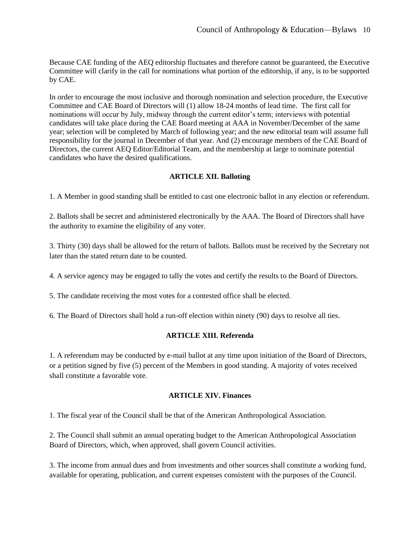Because CAE funding of the AEQ editorship fluctuates and therefore cannot be guaranteed, the Executive Committee will clarify in the call for nominations what portion of the editorship, if any, is to be supported by CAE.

In order to encourage the most inclusive and thorough nomination and selection procedure, the Executive Committee and CAE Board of Directors will (1) allow 18-24 months of lead time. The first call for nominations will occur by July, midway through the current editor's term; interviews with potential candidates will take place during the CAE Board meeting at AAA in November/December of the same year; selection will be completed by March of following year; and the new editorial team will assume full responsibility for the journal in December of that year. And (2) encourage members of the CAE Board of Directors, the current AEQ Editor/Editorial Team, and the membership at large to nominate potential candidates who have the desired qualifications.

#### **ARTICLE XII. Balloting**

1. A Member in good standing shall be entitled to cast one electronic ballot in any election or referendum.

2. Ballots shall be secret and administered electronically by the AAA. The Board of Directors shall have the authority to examine the eligibility of any voter.

3. Thirty (30) days shall be allowed for the return of ballots. Ballots must be received by the Secretary not later than the stated return date to be counted.

4. A service agency may be engaged to tally the votes and certify the results to the Board of Directors.

5. The candidate receiving the most votes for a contested office shall be elected.

6. The Board of Directors shall hold a run-off election within ninety (90) days to resolve all ties.

#### **ARTICLE XIII. Referenda**

1. A referendum may be conducted by e-mail ballot at any time upon initiation of the Board of Directors, or a petition signed by five (5) percent of the Members in good standing. A majority of votes received shall constitute a favorable vote.

# **ARTICLE XIV. Finances**

1. The fiscal year of the Council shall be that of the American Anthropological Association.

2. The Council shall submit an annual operating budget to the American Anthropological Association Board of Directors, which, when approved, shall govern Council activities.

3. The income from annual dues and from investments and other sources shall constitute a working fund, available for operating, publication, and current expenses consistent with the purposes of the Council.